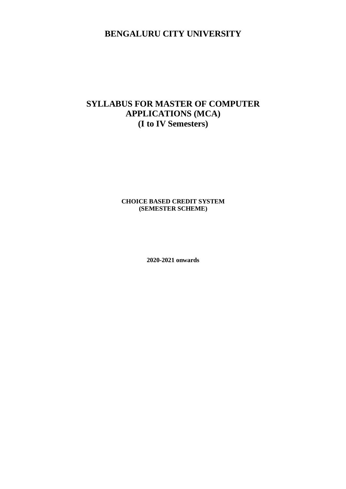# **BENGALURU CITY UNIVERSITY**

# **SYLLABUS FOR MASTER OF COMPUTER APPLICATIONS (MCA) (I to IV Semesters)**

### **CHOICE BASED CREDIT SYSTEM (SEMESTER SCHEME)**

**2020-2021 onwards**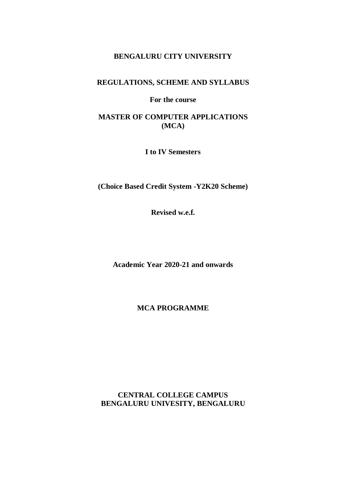## **BENGALURU CITY UNIVERSITY**

## **REGULATIONS, SCHEME AND SYLLABUS**

**For the course**

## **MASTER OF COMPUTER APPLICATIONS (MCA)**

**I to IV Semesters**

**(Choice Based Credit System -Y2K20 Scheme)**

**Revised w.e.f.**

**Academic Year 2020-21 and onwards**

**MCA PROGRAMME**

**CENTRAL COLLEGE CAMPUS BENGALURU UNIVESITY, BENGALURU**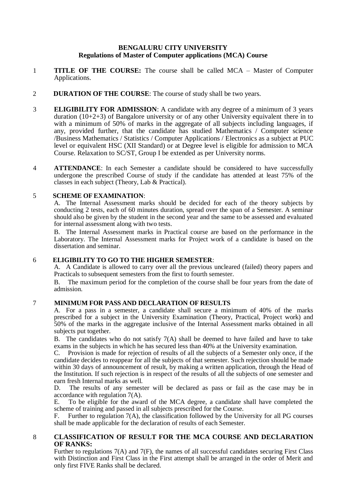### **BENGALURU CITY UNIVERSITY Regulations of Master of Computer applications (MCA) Course**

- 1 **TITLE OF THE COURSE:** The course shall be called MCA Master of Computer Applications.
- 2 **DURATION OF THE COURSE**: The course of study shall be two years.
- 3 **ELIGIBILITY FOR ADMISSION**: A candidate with any degree of a minimum of 3 years duration (10+2+3) of Bangalore university or of any other University equivalent there in to with a minimum of 50% of marks in the aggregate of all subjects including languages, if any, provided further, that the candidate has studied Mathematics / Computer science /Business Mathematics / Statistics / Computer Applications / Electronics as a subject at PUC level or equivalent HSC (XII Standard) or at Degree level is eligible for admission to MCA Course. Relaxation to SC/ST, Group I be extended as per University norms.
- 4 **ATTENDANCE**: In each Semester a candidate should be considered to have successfully undergone the prescribed Course of study if the candidate has attended at least 75% of the classes in each subject (Theory, Lab & Practical).

### 5 **SCHEME OF EXAMINATION**:

A. The Internal Assessment marks should be decided for each of the theory subjects by conducting 2 tests, each of 60 minutes duration, spread over the span of a Semester. A seminar should also be given by the student in the second year and the same to be assessed and evaluated for internal assessment along with two tests.

B. The Internal Assessment marks in Practical course are based on the performance in the Laboratory. The Internal Assessment marks for Project work of a candidate is based on the dissertation and seminar.

### 6 **ELIGIBILITY TO GO TO THE HIGHER SEMESTER**:

A. A Candidate is allowed to carry over all the previous uncleared (failed) theory papers and Practicals to subsequent semesters from the first to fourth semester.

B. The maximum period for the completion of the course shall be four years from the date of admission.

### 7 **MINIMUM FOR PASS AND DECLARATION OF RESULTS**

A. For a pass in a semester, a candidate shall secure a minimum of 40% of the marks prescribed for a subject in the University Examination (Theory, Practical, Project work) and 50% of the marks in the aggregate inclusive of the Internal Assessment marks obtained in all subjects put together.

B. The candidates who do not satisfy  $7(A)$  shall be deemed to have failed and have to take exams in the subjects in which he has secured less than 40% at the University examination.

C. Provision is made for rejection of results of all the subjects of a Semester only once, if the candidate decides to reappear for all the subjects of that semester. Such rejection should be made within 30 days of announcement of result, by making a written application, through the Head of the Institution. If such rejection is in respect of the results of all the subjects of one semester and earn fresh Internal marks as well.

D. The results of any semester will be declared as pass or fail as the case may be in accordance with regulation 7(A).

E. To be eligible for the award of the MCA degree, a candidate shall have completed the scheme of training and passed in all subjects prescribed for the Course.

F. Further to regulation 7(A), the classification followed by the University for all PG courses shall be made applicable for the declaration of results of each Semester.

### 8 **CLASSIFICATION OF RESULT FOR THE MCA COURSE AND DECLARATION OF RANKS:**

Further to regulations 7(A) and 7(F), the names of all successful candidates securing First Class with Distinction and First Class in the First attempt shall be arranged in the order of Merit and only first FIVE Ranks shall be declared.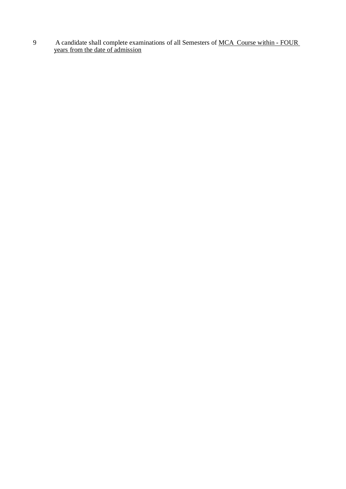9 A candidate shall complete examinations of all Semesters of MCA Course within - FOUR years from the date of admission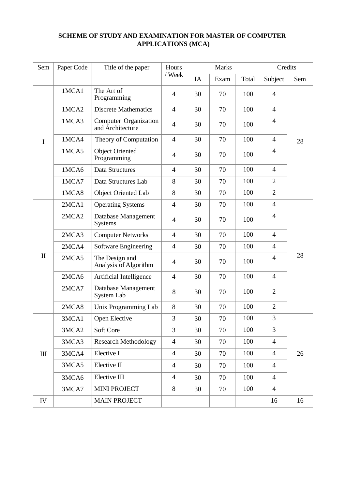## **SCHEME OF STUDY AND EXAMINATION FOR MASTER OF COMPUTER APPLICATIONS (MCA)**

| Sem          | Paper Code | Title of the paper                        | Hours          | Marks |      | Credits |                |     |
|--------------|------------|-------------------------------------------|----------------|-------|------|---------|----------------|-----|
|              |            |                                           | / Week         | IA    | Exam | Total   | Subject        | Sem |
| I            | 1MCA1      | The Art of<br>Programming                 | $\overline{4}$ | 30    | 70   | 100     | $\overline{4}$ | 28  |
|              | 1MCA2      | <b>Discrete Mathematics</b>               | $\overline{4}$ | 30    | 70   | 100     | $\overline{4}$ |     |
|              | 1MCA3      | Computer Organization<br>and Architecture | $\overline{4}$ | 30    | 70   | 100     | $\overline{4}$ |     |
|              | 1MCA4      | Theory of Computation                     | $\overline{4}$ | 30    | 70   | 100     | $\overline{4}$ |     |
|              | 1MCA5      | <b>Object Oriented</b><br>Programming     | $\overline{4}$ | 30    | 70   | 100     | $\overline{4}$ |     |
|              | 1MCA6      | Data Structures                           | $\overline{4}$ | 30    | 70   | 100     | $\overline{4}$ |     |
|              | 1MCA7      | Data Structures Lab                       | 8              | 30    | 70   | 100     | $\overline{2}$ |     |
|              | 1MCA8      | Object Oriented Lab                       | 8              | 30    | 70   | 100     | $\overline{2}$ |     |
| $\mathbf{I}$ | 2MCA1      | <b>Operating Systems</b>                  | $\overline{4}$ | 30    | 70   | 100     | $\overline{4}$ | 28  |
|              | 2MCA2      | Database Management<br><b>Systems</b>     | $\overline{4}$ | 30    | 70   | 100     | $\overline{4}$ |     |
|              | 2MCA3      | <b>Computer Networks</b>                  | $\overline{4}$ | 30    | 70   | 100     | $\overline{4}$ |     |
|              | 2MCA4      | Software Engineering                      | $\overline{4}$ | 30    | 70   | 100     | $\overline{4}$ |     |
|              | 2MCA5      | The Design and<br>Analysis of Algorithm   | $\overline{4}$ | 30    | 70   | 100     | $\overline{4}$ |     |
|              | 2MCA6      | Artificial Intelligence                   | $\overline{4}$ | 30    | 70   | 100     | $\overline{4}$ |     |
|              | 2MCA7      | Database Management<br>System Lab         | 8              | 30    | 70   | 100     | $\overline{2}$ |     |
|              | 2MCA8      | Unix Programming Lab                      | 8              | 30    | 70   | 100     | $\overline{2}$ |     |
| $\rm III$    | 3MCA1      | Open Elective                             | 3              | 30    | 70   | 100     | 3              | 26  |
|              | 3MCA2      | Soft Core                                 | 3              | 30    | 70   | 100     | 3              |     |
|              | 3MCA3      | <b>Research Methodology</b>               | $\overline{4}$ | 30    | 70   | 100     | $\overline{4}$ |     |
|              | 3MCA4      | Elective I                                | $\overline{4}$ | 30    | 70   | 100     | $\overline{4}$ |     |
|              | 3MCA5      | Elective II                               | $\overline{4}$ | 30    | 70   | 100     | $\overline{4}$ |     |
|              | 3MCA6      | Elective III                              | $\overline{4}$ | 30    | 70   | 100     | $\overline{4}$ |     |
|              | 3MCA7      | <b>MINI PROJECT</b>                       | 8              | 30    | 70   | 100     | $\overline{4}$ |     |
| IV           |            | <b>MAIN PROJECT</b>                       |                |       |      |         | 16             | 16  |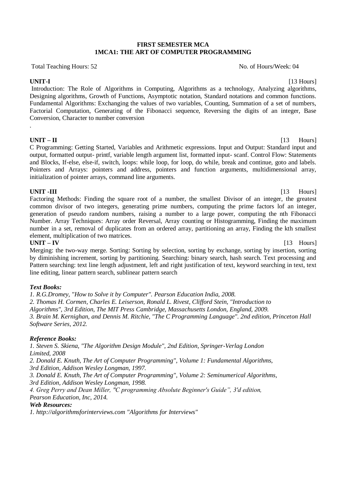### **FIRST SEMESTER MCA 1MCA1: THE ART OF COMPUTER PROGRAMMING**

Total Teaching Hours: 52 No. of Hours/Week: 04

**UNIT-I** [13 Hours] Introduction: The Role of Algorithms in Computing, Algorithms as a technology, Analyzing algorithms, Designing algorithms, Growth of Functions, Asymptotic notation, Standard notations and common functions. Fundamental Algorithms: Exchanging the values of two variables, Counting, Summation of a set of numbers, Factorial Computation, Generating of the Fibonacci sequence, Reversing the digits of an integer, Base Conversion, Character to number conversion .

**UNIT – II** [13 Hours]

C Programming: Getting Started, Variables and Arithmetic expressions. Input and Output: Standard input and output, formatted output- printf, variable length argument list, formatted input- scanf. Control Flow: Statements and Blocks, If-else, else-if, switch, loops: while loop, for loop, do while, break and continue, goto and labels. Pointers and Arrays: pointers and address, pointers and function arguments, multidimensional array, initialization of pointer arrays, command line arguments.

**UNIT -III** [13 Hours] Factoring Methods: Finding the square root of a number, the smallest Divisor of an integer, the greatest common divisor of two integers, generating prime numbers, computing the prime factors lof an integer, generation of pseudo random numbers, raising a number to a large power, computing the nth Fibonacci Number. Array Techniques: Array order Reversal, Array counting or Histogramming, Finding the maximum number in a set, removal of duplicates from an ordered array, partitioning an array, Finding the kth smallest element, multiplication of two matrices.

**UNIT – IV** [13 Hours] Merging: the two-way merge. Sorting: Sorting by selection, sorting by exchange, sorting by insertion, sorting by diminishing increment, sorting by partitioning. Searching: binary search, hash search. Text processing and Pattern searching: text line length adjustment, left and right justification of text, keyword searching in text, text line editing, linear pattern search, sublinear pattern search

### *Text Books:*

*1. R.G.Dromey, "How to Solve it by Computer". Pearson Education India, 2008. 2. Thomas H. Cormen, Charles E. Leiserson, Ronald L. Rivest, Clifford Stein, "Introduction to Algorithms", 3rd Edition, The MIT Press Cambridge, Massachusetts London, England, 2009. 3. Brain M. Kernighan, and Dennis M. Ritchie, "The C Programming Language". 2nd edition, Princeton Hall Software Series, 2012.*

### *Reference Books:*

*1. Steven S. Skiena, "The Algorithm Design Module", 2nd Edition, Springer-Verlag London Limited, 2008*

*2. Donald E. Knuth, The Art of Computer Programming", Volume 1: Fundamental Algorithms, 3rd Edition, Addison Wesley Longman, 1997.*

*3. Donald E. Knuth, The Art of Computer Programming", Volume 2: Seminumerical Algorithms, 3rd Edition, Addison Wesley Longman, 1998.*

*4. Greg Perry and Dean Miller, "C programming Absolute Beginner's Guide", 3'd edition, Pearson Education, Inc, 2014.*

### *Web Resources:*

*1. http://algorithmsforinterviews.com "Algorithms for Interviews"*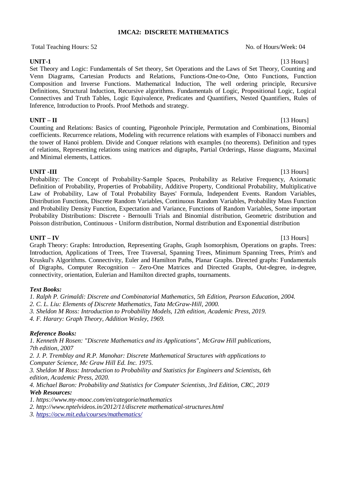### **1MCA2: DISCRETE MATHEMATICS**

Total Teaching Hours: 52 No. of Hours/Week: 04

**UNIT-1** [13 Hours] Set Theory and Logic: Fundamentals of Set theory, Set Operations and the Laws of Set Theory, Counting and Venn Diagrams, Cartesian Products and Relations, Functions-One-to-One, Onto Functions, Function Composition and Inverse Functions. Mathematical Induction, The well ordering principle, Recursive Definitions, Structural Induction, Recursive algorithms. Fundamentals of Logic, Propositional Logic, Logical Connectives and Truth Tables, Logic Equivalence, Predicates and Quantifiers, Nested Quantifiers, Rules of Inference, Introduction to Proofs. Proof Methods and strategy.

### **UNIT – II** [13 Hours]

Counting and Relations: Basics of counting, Pigeonhole Principle, Permutation and Combinations, Binomial coefficients. Recurrence relations, Modeling with recurrence relations with examples of Fibonacci numbers and the tower of Hanoi problem. Divide and Conquer relations with examples (no theorems). Definition and types of relations, Representing relations using matrices and digraphs, Partial Orderings, Hasse diagrams, Maximal and Minimal elements, Lattices.

### **UNIT -III** [13 Hours]

Probability: The Concept of Probability-Sample Spaces, Probability as Relative Frequency, Axiomatic Definition of Probability, Properties of Probability, Additive Property, Conditional Probability, Multiplicative Law of Probability, Law of Total Probability Bayes' Formula, Independent Events. Random Variables, Distribution Functions, Discrete Random Variables, Continuous Random Variables, Probability Mass Function and Probability Density Function, Expectation and Variance, Functions of Random Variables, Some important Probability Distributions: Discrete - Bernoulli Trials and Binomial distribution, Geometric distribution and Poisson distribution, Continuous - Uniform distribution, Normal distribution and Exponential distribution

### **UNIT – IV** [13 Hours]

Graph Theory: Graphs: Introduction, Representing Graphs, Graph Isomorphism, Operations on graphs. Trees: Introduction, Applications of Trees, Tree Traversal, Spanning Trees, Minimum Spanning Trees, Prim's and Kruskul's Algorithms. Connectivity, Euler and Hamilton Paths, Planar Graphs. Directed graphs: Fundamentals of Digraphs, Computer Recognition – Zero-One Matrices and Directed Graphs, Out-degree, in-degree, connectivity, orientation, Eulerian and Hamilton directed graphs, tournaments.

### *Text Books:*

*1. Ralph P. Grimaldi: Discrete and Combinatorial Mathematics, 5th Edition, Pearson Education, 2004.*

*2. C. L. Liu: Elements of Discrete Mathematics, Tata McGraw-Hill, 2000.*

- *3. Sheldon M Ross: Introduction to Probability Models, 12th edition, Academic Press, 2019.*
- *4. F. Harary: Graph Theory, Addition Wesley, 1969.*

### *Reference Books:*

*1. Kenneth H Rosen: "Discrete Mathematics and its Applications", McGraw Hill publications, 7th edition, 2007*

*2. J. P. Tremblay and R.P. Manohar: Discrete Mathematical Structures with applications to Computer Science, Mc Graw Hill Ed. Inc. 1975.*

*3. Sheldon M Ross: Introduction to Probability and Statistics for Engineers and Scientists, 6th edition, Academic Press, 2020.*

*4. Michael Baron: Probability and Statistics for Computer Scientists, 3rd Edition, CRC, 2019 Web Resources:*

*1. https://www.my-mooc.com/en/categorie/mathematics*

*2. http://www.nptelvideos.in/2012/11/discrete mathematical-structures.html*

*3.<https://ocw.mit.edu/courses/mathematics/>*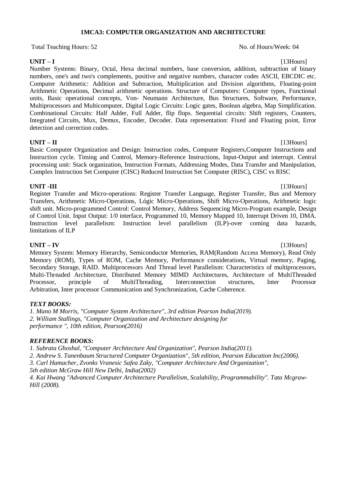### **1MCA3: COMPUTER ORGANIZATION AND ARCHITECTURE**

Total Teaching Hours: 52 No. of Hours/Week: 04

**UNIT – I** [13Hours] Number Systems: Binary, Octal, Hexa decimal numbers, base conversion, addition, subtraction of binary numbers, one's and two's complements, positive and negative numbers, character codes ASCII, EBCDIC etc. Computer Arithmetic: Addition and Subtraction, Multiplication and Division algorithms, Floating-point Arithmetic Operations, Decimal arithmetic operations. Structure of Computers: Computer types, Functional units, Basic operational concepts, Von- Neumann Architecture, Bus Structures, Software, Performance, Multiprocessors and Multicomputer, Digital Logic Circuits: Logic gates, Boolean algebra, Map Simplification. Combinational Circuits: Half Adder, Full Adder, flip flops. Sequential circuits: Shift registers, Counters, Integrated Circuits, Mux, Demux, Encoder, Decoder. Data representation: Fixed and Floating point, Error detection and correction codes.

### **UNIT – II** [13Hours]

Basic Computer Organization and Design: Instruction codes, Computer Registers,Computer Instructions and Instruction cycle. Timing and Control, Memory-Reference Instructions, Input-Output and interrupt. Central processing unit: Stack organization, Instruction Formats, Addressing Modes, Data Transfer and Manipulation, Complex Instruction Set Computer (CISC) Reduced Instruction Set Computer (RISC), CISC vs RISC

### **UNIT -III** [13Hours]

Register Transfer and Micro-operations: Register Transfer Language, Register Transfer, Bus and Memory Transfers, Arithmetic Micro-Operations, Lógic Micro-Operations, Shift Micro-Operations, Arithmetic logic shift unit. Micro-programmed Control: Control Memory, Address Sequencing Micro-Program example, Design of Control Unit. Input Output: 1/0 interface, Programmed 10, Memory Mapped 10, Interrupt Driven 10, DMA. Instruction level parallelism: Instruction level parallelism (ILP)-over coming data hazards, limitations of ILP

**UNIT – IV** [13Hours] Memory System: Memory Hierarchy, Semiconductor Memories, RAM(Random Access Memory), Read Only Memory (ROM), Types of ROM, Cache Memory, Performance considerations, Virtual memory, Paging, Secondary Storage, RAID. Multiprocessors And Thread level Parallelism: Characteristics of multiprocessors, Multi-Threaded Architecture, Distributed Memory MIMD Architectures, Architecture of MultiThreaded Processor, principle of MultiThreading, Interconnection structures, Inter Processor Arbitration, Inter processor Communication and Synchronization, Cache Coherence.

### *TEXT BOOKS:*

*1. Mano M Morris, "Computer System Architecture", 3rd edition Pearson India(2019). 2. William Stallings, "Computer Organization and Architecture designing for performance ", 10th edition, Pearson(2016)*

### *REFERENCE BOOKS:*

*1. Subrata Ghoshal, "Computer Architecture And Organization", Pearson India(2011).*

*2. Andrew S. Tanenbaum Structured Computer Organization", 5th edition, Pearson Education Inc(2006).*

*3. Carl Hamacher, Zvonks Vranesic Safea Zaky, "Computer Architecture And Organization",*

*5th edition McGraw Hill New Delhi, India(2002)*

*4. Kai Hwang "Advanced Computer Architecture Parallelism, Scalability, Programmability". Tata Mcgraw-Hill (2008).*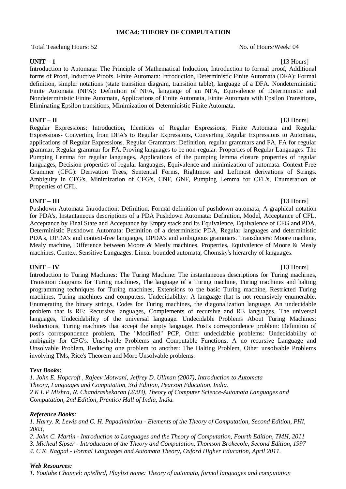### **1MCA4: THEORY OF COMPUTATION**

Total Teaching Hours: 52 No. of Hours/Week: 04

**UNIT – 1** [13 Hours] Introduction to Automata: The Principle of Mathematical Induction, Introduction to formal proof, Additional forms of Proof, Inductive Proofs. Finite Automata: Introduction, Deterministic Finite Automata (DFA): Formal definition, simpler notations (state transition diagram, transition table), language of a DFA. Nondeterministic Finite Automata (NFA): Definition of NFA, language of an NFA, Equivalence of Deterministic and Nondeterministic Finite Automata, Applications of Finite Automata, Finite Automata with Epsilon Transitions, Eliminating Epsilon transitions, Minimization of Deterministic Finite Automata.

### **UNIT – II** [13 Hours]

Regular Expressions: Introduction, Identities of Regular Expressions, Finite Automata and Regular Expressions- Converting from DFA's to Regular Expressions, Converting Regular Expressions to Automata, applications of Regular Expressions. Regular Grammars: Definition, regular grammars and FA, FA for regular grammar, Regular grammar for FA. Proving languages to be non-regular. Properties of Regular Languages: The Pumping Lemma for regular languages, Applications of the pumping lemma closure properties of regular languages, Decision properties of regular languages, Equivalence and minimization of automata. Context Free Grammer (CFG): Derivation Trees, Sentential Forms, Rightmost and Leftmost derivations of Strings. Ambiguity in CFG's, Minimization of CFG's, CNF, GNF, Pumping Lemma for CFL's, Enumeration of Properties of CFL.

**UNIT – III** [13 Hours] Pushdown Automata Introduction: Definition, Formal definition of pushdown automata, A graphical notation for PDA's, Instantaneous descriptions of a PDA Pushdown Automata: Definition, Model, Acceptance of CFL, Acceptance by Final State and Acceptance by Empty stack and its Equivalence, Equivalence of CFG and PDA. Deterministic Pushdown Automata: Definition of a deterministic PDA, Regular languages and deterministic PDA's, DPDA's and context-free languages, DPDA's and ambiguous grammars. Transducers: Moore machine, Mealy machine, Difference between Moore & Mealy machines, Properties, Equivalence of Moore & Mealy machines. Context Sensitive Languages: Linear bounded automata, Chomsky's hierarchy of languages.

### **UNIT – IV** [13 Hours]

Introduction to Turing Machines: The Turing Machine: The instantaneous descriptions for Turing machines, Transition diagrams for Turing machines, The language of a Turing machine, Turing machines and halting programming techniques for Turing machines, Extensions to the basic Turing machine, Restricted Turing machines, Turing machines and computers. Undecidability: A language that is not recursively enumerable, Enumerating the binary strings, Codes for Turing machines, the diagonalization language, An undecidable problem that is RE: Recursive languages, Complements of recursive and RE languages, The universal languages, Undecidability of the universal language. Undecidable Problems About Turing Machines: Reductions, Turing machines that accept the empty language. Post's correspondence problem: Definition of post's correspondence problem, The "Modified" PCP, Other undecidable problems: Undecidability of ambiguity for CFG's. Unsolvable Problems and Computable Functions: A no recursive Language and Unsolvable Problem, Reducing one problem to another: The Halting Problem, Other unsolvable Problems involving TMs, Rice's Theorem and More Unsolvable problems.

### *Text Books:*

*1. John E. Hopcroft , Rajeev Motwani, Jeffrey D. Ullman (2007), Introduction to Automata Theory, Languages and Computation, 3rd Edition, Pearson Education, India. 2 K L P Mishra, N. Chandrashekaran (2003), Theory of Computer Science-Automata Languages and Computation, 2nd Edition, Prentice Hall of India, India.*

### *Reference Books:*

*1. Harry. R. Lewis and C. H. Papadimitriou - Elements of the Theory of Computation, Second Edition, PHI, 2003,*

*2. John C. Martin - Introduction to Languages and the Theory of Computation, Fourth Edition, TMH, 2011*

*3. Micheal Sipser - Introduction of the Theory and Computation, Thomson Brokecole, Second Edition, 1997*

*4. C K. Nagpal - Formal Languages and Automata Theory, Oxford Higher Education, April 2011.*

### *Web Resources:*

*1. Youtube Channel: nptelhrd, Playlist name: Theory of automata, formal languages and computation*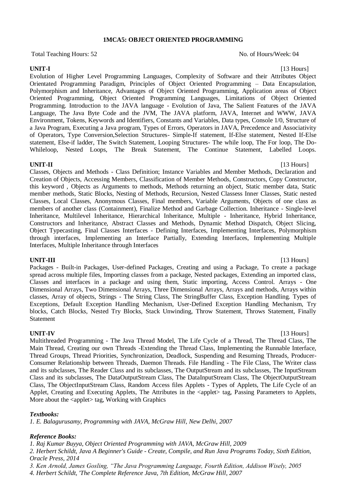### **1MCA5: OBJECT ORIENTED PROGRAMMING**

Total Teaching Hours: 52 No. of Hours/Week: 04

Evolution of Higher Level Programming Languages, Complexity of Software and their Attributes Object Orientated Programming Paradigm, Principles of Object Oriented Programming – Data Encapsulation, Polymorphism and Inheritance, Advantages of Object Oriented Programming, Application areas of Object Oriented Programming, Object Oriented Programming Languages, Limitations of Object Oriented Programming. Introduction to the JAVA language - Evolution of Java, The Salient Features of the JAVA Language, The Java Byte Code and the JVM, The JAVA platform, JAVA, Internet and WWW, JAVA Environment, Tokens, Keywords and Identifiers, Constants and Variables, Data types, Console 1/0, Structure of a Java Program, Executing a Java program, Types of Errors, Operators in JAVA, Precedence and Associativity of Operators, Type Conversion,Selection Structures- Simple-If statement, If-Else statement, Nested If-Else statement, Else-if ladder, The Switch Statement, Looping Structures- The while loop, The For loop, The Do-Whileloop, Nested Loops, The Break Statement, The Continue Statement, Labelled Loops.

### **UNIT-II** [13 Hours]

Classes, Objects and Methods - Class Definition; Instance Variables and Member Methods, Declaration and Creation of Objects, Accessing Members, Classification of Member Methods, Constructors, Copy Constructor, this keyword , Objects as Arguments to methods, Methods returning an object, Static member data, Static member methods, Static Blocks, Nesting of Methods, Recursion, Nested Classess Inner Classes, Static nested Classes, Local Classes, Anonymous Classes, Final members, Variable Arguments, Objects of one class as members of another class (Containment), Finalize Method and Garbage Collection. Inheritance - Single-level Inheritance, Multilevel Inheritance, Hierarchical Inheritance, Multiple - Inheritance, Hybrid Inheritance, Constructors and Inheritance, Abstract Classes and Methods, Dynamic Method Dispatch, Object Slicing, Object Typecasting, Final Classes Interfaces - Defining Interfaces, Implementing Interfaces, Polymorphism through interfaces, Implementing an Interface Partially, Extending Interfaces, Implementing Multiple Interfaces, Multiple Inheritance through Interfaces

### **UNIT-III** [13 Hours]

Packages - Built-in Packages, User-defined Packages, Creating and using a Package, To create a package spread across multiple files, Importing classes from a package, Nested packages, Extending an imported class, Classes and interfaces in a package and using them, Static importing, Access Control. Arrays - One Dimensional Arrays, Two Dimensional Arrays, Three Dimensional Arrays, Arrays and methods, Arrays within classes, Array of objects, Strings - The String Class, The StringBuffer Class, Exception Handling. Types of Exceptions, Default Exception Handling Mechanism, User-Defined Exception Handling Mechanism, Try blocks, Catch Blocks, Nested Try Blocks, Stack Unwinding, Throw Statement, Throws Statement, Finally Statement

**UNIT-IV** [13 Hours] Multithreaded Programming - The Java Thread Model, The Life Cycle of a Thread, The Thread Class, The Main Thread, Creating our own Threads -Extending the Thread Class, Implementing the Runnable Interface, Thread Groups, Thread Priorities, Synchronization, Deadlock, Suspending and Resuming Threads, Producer-Consumer Relationship between Threads, Daemon Threads. File Handling - The File Class, The Writer class and its subclasses, The Reader Class and its subclasses, The OutputStream and its subclasses, The InputStream Class and its subclasses, The DataOutputStream Class, The DataInputStream Class, The ObjectOutputStream Class, The ObjectInputStream Class, Random Access files Applets - Types of Applets, The Life Cycle of an Applet, Creating and Executing Applets, The Attributes in the <applet> tag, Passing Parameters to Applets, More about the <applet> tag, Working with Graphics

### *Textbooks:*

*1. E. Balagurusamy, Programming with JAVA, McGraw Hill, New Delhi, 2007*

### *Reference Books:*

*1. Raj Kumar Buyya, Object Oriented Programming with JAVA, McGraw Hill, 2009*

*2. Herbert Schildt, Java A Beginner's Guide - Create, Compile, and Run Java Programs Today, Sixth Edition, Oracle Press, 2014*

*3. Ken Arnold, James Gosling, "The Java Programming Language, Fourth Edition, Addison Wisely, 2005*

*4. Herbert Schildt, 'The Complete Reference Java, 7th Edition, McGraw Hill, 2007*

# **UNIT-I** [13 Hours]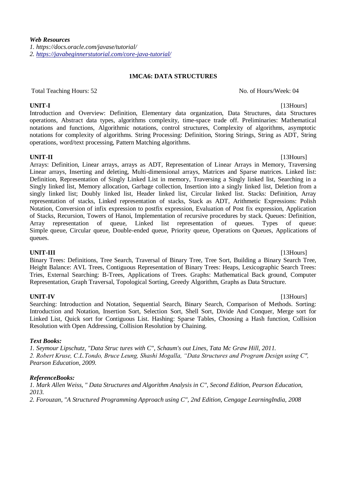### **1MCA6: DATA STRUCTURES**

Total Teaching Hours: 52 No. of Hours/Week: 04

**UNIT-I** [13Hours] Introduction and Overview: Definition, Elementary data organization, Data Structures, data Structures operations, Abstract data types, algorithms complexity, time-space trade off. Preliminaries: Mathematical notations and functions, Algorithmic notations, control structures, Complexity of algorithms, asymptotic notations for complexity of algorithms. String Processing: Definition, Storing Strings, String as ADT, String operations, word/text processing, Pattern Matching algorithms.

**UNIT-II** [13Hours]

Arrays: Definition, Linear arrays, arrays as ADT, Representation of Linear Arrays in Memory, Traversing Linear arrays, Inserting and deleting, Multi-dimensional arrays, Matrices and Sparse matrices. Linked list: Definition, Representation of Singly Linked List in memory, Traversing a Singly linked list, Searching in a Singly linked list, Memory allocation, Garbage collection, Insertion into a singly linked list, Deletion from a singly linked list; Doubly linked list, Header linked list, Circular linked list. Stacks: Definition, Array representation of stacks, Linked representation of stacks, Stack as ADT, Arithmetic Expressions: Polish Notation, Conversion of infix expression to postfix expression, Evaluation of Post fix expression, Application of Stacks, Recursion, Towers of Hanoi, Implementation of recursive procedures by stack. Queues: Definition, Array representation of queue, Linked list representation of queues. Types of queue: Simple queue, Circular queue, Double-ended queue, Priority queue, Operations on Queues, Applications of queues.

**UNIT-III** [13Hours]

Binary Trees: Definitions, Tree Search, Traversal of Binary Tree, Tree Sort, Building a Binary Search Tree, Height Balance: AVL Trees, Contiguous Representation of Binary Trees: Heaps, Lexicographic Search Trees: Tries, External Searching: B-Trees, Applications of Trees. Graphs: Mathematical Back ground, Computer Representation, Graph Traversal, Topological Sorting, Greedy Algorithm, Graphs as Data Structure.

**UNIT-IV** [13Hours] Searching: Introduction and Notation, Sequential Search, Binary Search, Comparison of Methods. Sorting: Introduction and Notation, Insertion Sort, Selection Sort, Shell Sort, Divide And Conquer, Merge sort for Linked List, Quick sort for Contiguous List. Hashing: Sparse Tables, Choosing a Hash function, Collision Resolution with Open Addressing, Collision Resolution by Chaining.

### *Text Books:*

*1. Seymour Lipschutz, "Data Struc tures with C", Schaum's out Lines, Tata Mc Graw Hill, 2011. 2. Robert Kruse, C.L.Tondo, Bruce Leung, Shashi Mogalla, "Data Structures and Program Design using C", Pearson Education, 2009.*

### *ReferenceBooks:*

*1. Mark Allen Weiss, " Data Structures and Algorithm Analysis in C", Second Edition, Pearson Education, 2013.*

*2. Forouzan, "A Structured Programming Approach using C", 2nd Edition, Cengage LearningIndia, 2008*

# *Web Resources*

*1. https://docs.oracle.com/javase/tutorial/ 2.<https://javabeginnerstutorial.com/core-java-tutorial/>*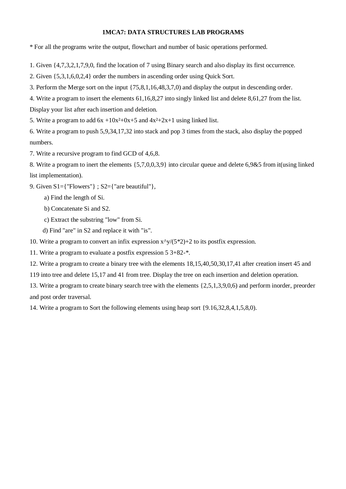### **1MCA7: DATA STRUCTURES LAB PROGRAMS**

\* For all the programs write the output, flowchart and number of basic operations performed.

1. Given {4,7,3,2,1,7,9,0, find the location of 7 using Binary search and also display its first occurrence.

2. Given {5,3,1,6,0,2,4} order the numbers in ascending order using Quick Sort.

3. Perform the Merge sort on the input {75,8,1,16,48,3,7,0) and display the output in descending order.

4. Write a program to insert the elements 61,16,8,27 into singly linked list and delete 8,61,27 from the list. Display your list after each insertion and deletion.

5. Write a program to add  $6x + 10x^2+0x+5$  and  $4x^2+2x+1$  using linked list.

6. Write a program to push 5,9,34,17,32 into stack and pop 3 times from the stack, also display the popped numbers.

7. Write a recursive program to find GCD of 4,6,8.

8. Write a program to inert the elements {5,7,0,0,3,9} into circular queue and delete 6,9&5 from it(using linked list implementation).

9. Given S1={"Flowers"} ; S2={"are beautiful"},

a) Find the length of Si.

b) Concatenate Si and S2.

c) Extract the substring "low" from Si.

d) Find "are" in S2 and replace it with "is".

10. Write a program to convert an infix expression  $x\sqrt{(5^*2)}+2$  to its postfix expression.

11. Write a program to evaluate a postfix expression 5 3+82-\*.

12. Write a program to create a binary tree with the elements 18,15,40,50,30,17,41 after creation insert 45 and

119 into tree and delete 15,17 and 41 from tree. Display the tree on each insertion and deletion operation.

13. Write a program to create binary search tree with the elements {2,5,1,3,9,0,6) and perform inorder, preorder and post order traversal.

14. Write a program to Sort the following elements using heap sort {9.16,32,8,4,1,5,8,0).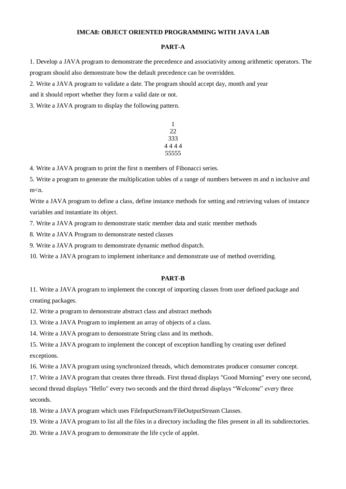### **IMCA8: OBJECT ORIENTED PROGRAMMING WITH JAVA LAB**

### **PART-A**

1. Develop a JAVA program to demonstrate the precedence and associativity among arithmetic operators. The program should also demonstrate how the default precedence can be overridden.

2. Write a JAVA program to validate a date. The program should accept day, month and year

and it should report whether they form a valid date or not.

3. Write a JAVA program to display the following pattern.

$$
\begin{array}{c}\n1 \\
22 \\
333 \\
4444 \\
555555\n\end{array}
$$

4. Write a JAVA program to print the first n members of Fibonacci series.

5. Write a program to generate the multiplication tables of a range of numbers between m and n inclusive and m<n.

Write a JAVA program to define a class, define instance methods for setting and retrieving values of instance variables and instantiate its object.

7. Write a JAVA program to demonstrate static member data and static member methods

8. Write a JAVA Program to demonstrate nested classes

9. Write a JAVA program to demonstrate dynamic method dispatch.

10. Write a JAVA program to implement inheritance and demonstrate use of method overriding.

### **PART-B**

11. Write a JAVA program to implement the concept of importing classes from user defined package and creating packages.

12. Write a program to demonstrate abstract class and abstract methods

13. Write a JAVA Program to implement an array of objects of a class.

14. Write a JAVA program to demonstrate String class and its methods.

15. Write a JAVA program to implement the concept of exception handling by creating user defined exceptions.

16. Write a JAVA program using synchronized threads, which demonstrates producer consumer concept.

17. Write a JAVA program that creates three threads. First thread displays "Good Morning" every one second, second thread displays "Hello" every two seconds and the third thread displays "Welcome" every three seconds.

18. Write a JAVA program which uses FileInputStream/FileOutputStream Classes.

19. Write a JAVA program to list all the files in a directory including the files present in all its subdirectories.

20. Write a JAVA program to demonstrate the life cycle of applet.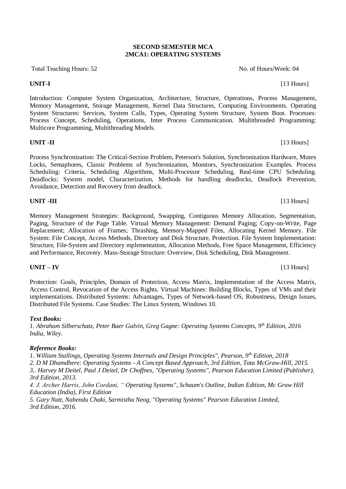### **SECOND SEMESTER MCA 2MCA1: OPERATING SYSTEMS**

Total Teaching Hours: 52 No. of Hours/Week: 04

Introduction: Computer System Organization, Architecture, Structure, Operations, Process Management, Memory Management, Storage Management, Kernel Data Structures, Computing Environments. Operating System Structures: Services, System Calls, Types, Operating System Structure, System Boot. Processes: Process Concept, Scheduling, Operations, Inter Process Communication. Multithreaded Programming: Multicore Programming, Multithreading Models.

### **UNIT -II** [13 Hours]

Process Synchronization: The Critical-Section Problem, Peterson's Solution, Synchronization Hardware, Mutex Locks, Semaphores, Classic Problems of Synchronization, Monitors, Synchronization Examples. Process Scheduling: Criteria, Scheduling Algorithms, Multi-Processor Scheduling, Real-time CPU Scheduling. Deadlocks: System model, Characterization, Methods for handling deadlocks, Deadlock Prevention, Avoidance, Detection and Recovery from deadlock.

## **UNIT -III** [13 Hours]

Memory Management Strategies: Background, Swapping, Contiguous Memory Allocation, Segmentation, Paging, Structure of the Page Table. Virtual Memory Management: Demand Paging; Copy-on-Write, Page Replacement; Allocation of Frames; Thrashing, Memory-Mapped Files, Allocating Kernel Memory. File System: File Concept, Access Methods, Directory and Disk Structure, Protection. File System Implementation: Structure, File-System and Directory mplementation, Allocation Methods, Free Space Management, Efficiency and Performance, Recovery. Mass-Storage Structure: Overview, Disk Scheduling, Disk Management.

### **UNIT – IV** [13 Hours]

Protection: Goals, Principles, Domain of Protection, Access Matrix, Implementation of the Access Matrix, Access Control, Revocation of the Access Rights. Virtual Machines: Building Blocks, Types of VMs and their implementations. Distributed Systems: Advantages, Types of Network-based OS, Robustness, Design Issues, Distributed File Systems. Case Studies: The Linux System, Windows 10.

### *Text Books:*

*1. Abraham Silberschatz, Peter Baer Galvin, Greg Gagne: Operating Systems Concepts, 9th Edition, 2016 India, Wiley.*

### *Reference Books:*

*1. William Stallings, Operating Systems Internals and Design Principles", Pearson, 9th Edition, 2018*

*2. D M Dhamdhere: Operating Systems - A Concept Based Approach, 3rd Edition, Tata McGraw-Hill, 2015.*

*3.. Harvey M Deitel, Paul J Deitel, Dr Choffnes, "Operating Systems", Pearson Education Limited (Publisher), 3rd Edition, 2013.*

*4. J. Archer Harris, John Cordani, " Operating Systems", Schaum's Outline, Indian Edition, Mc Graw Hill Education (India), First Edition*

*5. Gary Nutt, Nabendu Chaki, Sarmistha Neog, "Operating Systems" Pearson Education Limited, 3rd Edition, 2016.*

**UNIT-I** [13 Hours]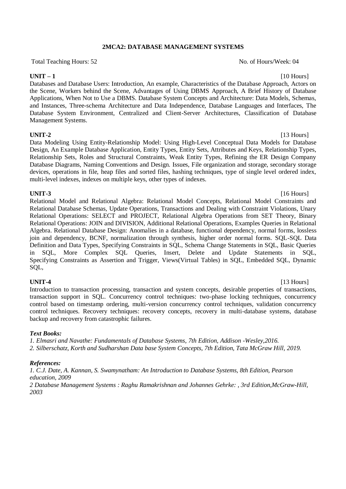### **2MCA2: DATABASE MANAGEMENT SYSTEMS**

Total Teaching Hours: 52 No. of Hours/Week: 04

### **UNIT – 1** [10 Hours]

Databases and Database Users: Introduction, An example, Characteristics of the Database Approach, Actors on the Scene, Workers behind the Scene, Advantages of Using DBMS Approach, A Brief History of Database Applications, When Not to Use a DBMS. Database System Concepts and Architecture: Data Models, Schemas, and Instances, Three-schema Architecture and Data Independence, Database Languages and Interfaces, The Database System Environment, Centralized and Client-Server Architectures, Classification of Database Management Systems.

### **UNIT-2** [13 Hours]

Data Modeling Using Entity-Relationship Model: Using High-Level Conceptual Data Models for Database Design, An Example Database Application, Entity Types, Entity Sets, Attributes and Keys, Relationship Types, Relationship Sets, Roles and Structural Constraints, Weak Entity Types, Refining the ER Design Company Database Diagrams, Naming Conventions and Design. Issues, File organization and storage, secondary storage devices, operations in file, heap files and sorted files, hashing techniques, type of single level ordered index, multi-level indexes, indexes on multiple keys, other types of indexes.

### **UNIT-3** [16 Hours]

Relational Model and Relational Algebra: Relational Model Concepts, Relational Model Constraints and Relational Database Schemas, Update Operations, Transactions and Dealing with Constraint Violations, Unary Relational Operations: SELECT and PROJECT, Relational Algebra Operations from SET Theory, Binary Relational Operations: JOIN and DIVISION, Additional Relational Operations, Examples Queries in Relational Algebra. Relational Database Design: Anomalies in a database, functional dependency, normal forms, lossless join and dependency, BCNF, normalization through synthesis, higher order normal forms. SQL-SQL Data Definition and Data Types, Specifying Constraints in SQL, Schema Change Statements in SQL, Basic Queries in SQL, More Complex SQL Queries, Insert, Delete and Update Statements in SQL, Specifying Constraints as Assertion and Trigger, Views(Virtual Tables) in SQL, Embedded SQL, Dynamic SQL,

**UNIT-4** [13 Hours] Introduction to transaction processing, transaction and system concepts, desirable properties of transactions, transaction support in SQL. Concurrency control techniques: two-phase locking techniques, concurrency control based on timestamp ordering, multi-version concurrency control techniques, validation concurrency control techniques. Recovery techniques: recovery concepts, recovery in multi-database systems, database backup and recovery from catastrophic failures.

### *Text Books:*

*1. Elmasri and Navathe: Fundamentals of Database Systems, 7th Edition, Addison -Wesley,2016. 2. Silberschatz, Korth and Sudharshan Data base System Concepts, 7th Edition, Tata McGraw Hill, 2019.*

### *References:*

*1. C.J. Date, A. Kannan, S. Swamynatham: An Introduction to Database Systems, 8th Edition, Pearson education, 2009*

*2 Database Management Systems : Raghu Ramakrishnan and Johannes Gehrke: , 3rd Edition,McGraw-Hill, 2003*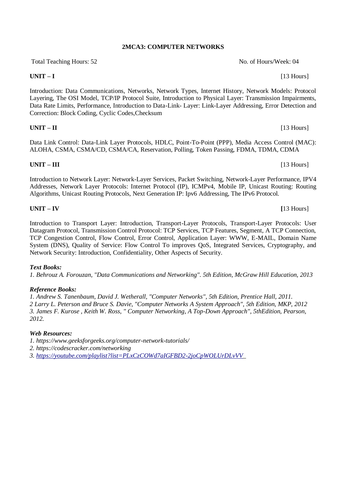### **2MCA3: COMPUTER NETWORKS**

Total Teaching Hours: 52 No. of Hours/Week: 04

**UNIT – I** [13 Hours]

Introduction: Data Communications, Networks, Network Types, Internet History, Network Models: Protocol Layering, The OSI Model, TCP/IP Protocol Suite, Introduction to Physical Layer: Transmission Impairments, Data Rate Limits, Performance, Introduction to Data-Link- Layer: Link-Layer Addressing, Error Detection and Correction: Block Coding, Cyclic Codes,Checksum

Data Link Control: Data-Link Layer Protocols, HDLC, Point-To-Point (PPP), Media Access Control (MAC): ALOHA, CSMA, CSMA/CD, CSMA/CA, Reservation, Polling, Token Passing, FDMA, TDMA, CDMA

Introduction to Network Layer: Network-Layer Services, Packet Switching, Network-Layer Performance, IPV4 Addresses, Network Layer Protocols: Internet Protocol (IP), ICMPv4, Mobile IP, Unicast Routing: Routing Algorithms, Unicast Routing Protocols, Next Generation IP: Ipv6 Addressing, The IPv6 Protocol.

Introduction to Transport Layer: Introduction, Transport-Layer Protocols, Transport-Layer Protocols: User Datagram Protocol, Transmission Control Protocol: TCP Services, TCP Features, Segment, A TCP Connection, TCP Congestion Control, Flow Control, Error Control, Application Layer: WWW, E-MAIL, Domain Name System (DNS), Quality of Service: Flow Control To improves QoS, Integrated Services, Cryptography, and Network Security: Introduction, Confidentiality, Other Aspects of Security.

### *Text Books:*

*1. Behrouz A. Forouzan, "Data Communications and Networking". 5th Edition, McGraw Hill Education, 2013*

### *Reference Books:*

*1. Andrew S. Tanenbaum, David J. Wetherall, "Computer Networks", 5th Edition, Prentice Hall, 2011. 2 Larry L. Peterson and Bruce S. Davie, "Computer Networks A System Approach", 5th Edition, MKP, 2012 3. James F. Kurose , Keith W. Ross, " Computer Networking, A Top-Down Approach", 5thEdition, Pearson, 2012.*

### *Web Resources:*

*1. https://www.geeksforgeeks.org/computer-network-tutorials/*

*2. https://codescracker.com/networking*

*3. [https://youtube.com/playlist?list=PLxCzCOWd7aIGFBD2-2joCpWOLUrDLvVV\\_](https://youtube.com/playlist?list=PLxCzCOWd7aIGFBD2-2joCpWOLUrDLvVV)*

### **UNIT – IV [**13 Hours]

**UNIT – II** [13 Hours]

**UNIT – III** [13 Hours]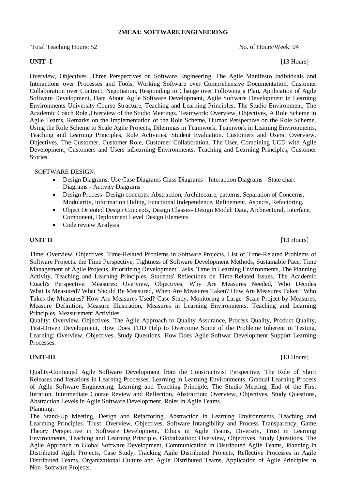### **2MCA4: SOFTWARE ENGINEERING**

Total Teaching Hours: 52 No. of Hours/Week: 04

Overview, Objectives ,Three Perspectives on Software Engineering, The Agile Manifesto Individuals and Interactions over Processes and Tools, Working Software over Comprehensive Documentation, Customer Collaboration over Contract, Negotiation, Responding to Change over Following a Plan, Application of Agile Software Development, Data About Agile Software Development, Agile Software Development in Learning Environments University Course Structure, Teaching and Learning Principles, The Studio Environment, The Academic Coach Role ,Overview of the Studio Meetings. Teamwork: Overview, Objectives, A Role Scheme in Agile Teams, Remarks on the Implementation of the Role Scheme, Human Perspective on the Role Scheme, Using the Role Scheme to Scale Agile Projects, Dilemmas in Teamwork, Teamwork in Leaming Environments, Teaching and Learning Principles, Role Activities, Student Evaluation. Customers and Users: Overview, Objectives, The Customer, Customer Role, Customer Collaboration, The User, Combining UCD with Agile Development, Customers and Users inLearning Environments, Teaching and Learning Principles, Customer Stories.

### SOFTWARE DESIGN:

- Design Diagrams: Use Case Diagrams Class Diagrams Interaction Diagrams State chart Diagrams - Activity Diagrams
- Design Process- Design concepts: Abstraction, Architecture, patterns, Separation of Concerns, Modularity, Information Hiding, Functional Independence, Refinement, Aspects, Refactoring.
- Object Oriented Design Concepts, Design Classes- Design Model: Data, Architectural, Interface, Component, Deployment Level Design Elements
- Code review Analysis.

**UNIT II** [13 Hours]

Time: Overview, Objectives, Time-Related Problems in Software Projects, List of Time-Related Problems of Software Projects. the Time Perspective, Tightness of Software Development Methods, Sustainable Pace, Time Management of Agile Projects, Prioritizing Development Tasks, Time in Learning Environments, The Planning Activity, Teaching and Learning Principles, Students' Reflections on Time-Related Issues, The Academic Coach's Perspective. Measures: Overview, Objectives, Why Are Measures Needed, Who Decides What Is Measured? What Should Be Measured, When Are Measures Taken? How Are Measures Taken? Who Takes the Measures? How Are Measures Used? Case Study, Monitoring a Large- Scale Project by Measures, Measure Definition, Measure lllustration, Measures in Learning Environments, Teaching and Lcarning Principles, Measurement Activities.

Quality: Overview, Objectives, The Agile Approach to Quality Assurance, Process Quality, Product Quality, Test-Driven Development, How Does TDD Help to Overcome Some of the Prohleme Inherent in Testing, Learning: Overview, Objectives, Study Questions, How Does Agile Softwar Development Support Learning Processes.

### **UNIT-III** [13 Hours]

Quality-Continued Agile Software Development from the Constructivist Perspective, The Role of Short Releases and Iterations in Learning Processes, Learning in Learning Environments, Gradual Learning Process of Agile Software Engineering, Learning and Teaching Principle, The Studio Meeting, End of the First Iteration, Intermediate Course Review and Reflection, Abstraction: Overview, Objectives, Study Questions, Abstraction Levels in Agile Software Development, Roles in Agile Teams. Planning:

The Stand-Up Meeting, Design and Refactoring, Abstraction in Learning Environments, Teaching and Learming Principles. Trust: Overview, Objectives, Software Intangibility and Process Transparency, Game Theory Perspective in Software Development, Ethics in Agile Teams, Diversity, Trust in Learning Environments, Teaching and Learning Principle. Globalization: Overview, Objectives, Study Questions, The Agile Approach in Global Software Development, Communication in Distributed Agile Teams, Planning in Distributed Agile Projects, Case Study, Tracking Agile Distributed Projects, Reflective Processes in Agile Distributed Teams, Organizational Culture and Agile Distributed Teams, Application of Agile Principles in Non- Software Projects.

**UNIT -I** [13 Hours]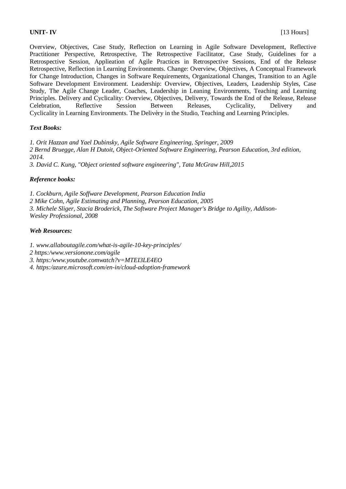Overview, Objectives, Case Study, Reflection on Learning in Agile Software Development, Reflective Practitioner Perspective, Retrospective, The Retrospective Facilitator, Case Study, Guidelines for a Retrospective Session, Applieation of Agile Practices in Retrospective Sessions, End of the Release Retrospective, Reflection in Learning Environments. Change: Overview, Objectives, A Conceptual Framework for Change Introduction, Changes in Software Requirements, Organizational Changes, Transition to an Agile Software Development Environment. Leadership: Overview, Objectives, Leaders, Leadership Styles, Case Study, The Agile Change Leader, Coaches, Leadership in Leaning Environments, Teaching and Learning Principles. Delivery and Cyclicality: Overview, Objectives, Delivery, Towards the End of the Release, Release Celebration, Reflective Session Between Releases, Cyclicality, Delivery and Cyclicality in Learning Environments. The Delivèry in the Studio, Teaching and Learning Principles.

### *Text Books:*

*1. Orit Hazzan and Yael Dubinsky, Agile Software Engineering, Springer, 2009 2 Bernd Bruegge, Alan H Dutoit, Object-Oriented Software Engineering, Pearson Education, 3rd edition, 2014.*

*3. David C. Kung, "Object oriented software engineering", Tata McGraw Hill,2015*

### *Reference books:*

*1. Cockburn, Agile Soffware Development, Pearson Education India 2 Mike Cohn, Agile Estimating and Planning, Pearson Education, 2005 3. Michele Sliger, Stacia Broderick, The Software Project Manager's Bridge to Agility, Addison-Wesley Professional, 2008*

### *Web Resources:*

*1. www.allaboutagile.com/what-is-agile-10-key-principles/*

*2 https:/www.versionone.com/agile*

*3. https:/www.youtube.comwatch?v=MTEI3LE4EO*

*4. https:/azure.microsoft.com/en-in/cloud-adoption-framework*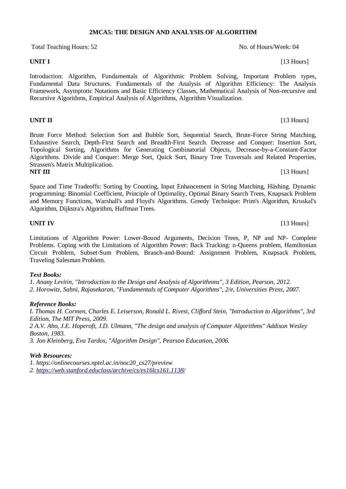## **2MCA5: THE DESIGN AND ANALYSIS OF ALGORITHM**

Total Teaching Hours: 52 No. of Hours/Week: 04

Introduction: Algorithm, Fundamentals of Algorithmic Problem Solving, Important Problem types, Fundamental Data Structures. Fundamentals of the Analysis of Algorithm Efficiency: The Analysis Framework, Asymptotic Notations and Basic Efficiency Classes, Mathematical Analysis of Non-recursive and Recursive Algorithms, Empirical Analysis of Algorithms, Algorithm Visualization.

**UNIT II** [13 Hours]

Brute Force Method: Selection Sort and Bubble Sort, Sequential Search, Brute-Force String Matching, Exhaustive Search, Depth-First Search and Breadth-First Search. Decrease and Conquer: Insertion Sort, Topological Sorting, Algorithms for Generating Combinatorial Objects, Decrease-by-a-Constant-Factor Algorithms. Divide and Conquer: Merge Sort, Quick Sort, Binary Tree Traversals and Related Properties, Strassen's Matrix Multiplication. **NIT III** [13 Hours]

Space and Time Tradeoffs: Sorting by Counting, Input Enhancement in String Matching, Häshing. Dynamic programming: Binomial Coefficient, Principle of Optimality, Optimal Binary Search Trees, Knapsack Problem and Memory Functions, Warshall's and Floyd's Algorithms. Greedy Technique: Prim's Algorithm, Kruskal's Algorithm, Dijkstra's Algorithm, Huffman Trees.

Limitations of Algorithm Power: Lower-Bound Arguments, Decision Trees, P, NP and NP- Complete Problems. Coping with the Limitations of Algorithm Power: Back Tracking: n-Queens problem, Hamiltonian Circuit Problem, Subset-Sum Problem, Branch-and-Bound: Assignment Problem, Knapsack Problem, Traveling Salesman Problem.

### *Text Books:*

*1. Anany Levitin, "Introduction to the Design and Analysis of Algorithnms", 3 Edition, Pearson, 2012.*

*2. Horowitz, Sahni, Rajasekaran, "Fundamentals of Computer Algorithms", 2/e, Universities Press, 2007.*

### *Reference Books:*

*I. Thomas H. Cormen, Charles E. Leiserson, Ronald L. Rivest, Clifford Stein, "Introduction to Algorithms", 3rd Edition, The MIT Press, 2009. 2 A.V. Aho, J.E. Hoperoft, J.D. Ulmann, "The design and analysis of Computer Algorithms" Addison Wesley Boston, 1983. 3. Jon Kleinberg, Eva Tardos, "Algorithm Design", Pearson Education, 2006.*

### *Web Resources:*

*1. https://onlinecourses.nptel.ac.in/noc20\_cs27/preview*

*2.<https://web.stanford.educlass/archive/cs/es16lcs161.1138/>*

**UNIT IV** [13 Hours]

**UNIT I** [13 Hours]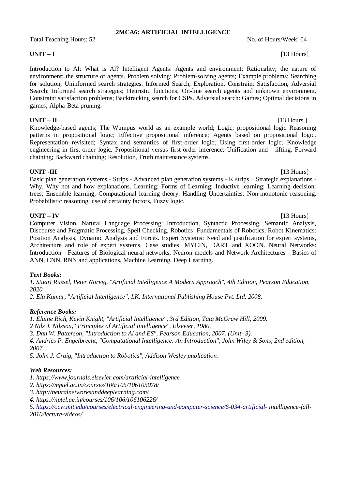### **2MCA6: ARTIFICIAL INTELLIGENCE**

Total Teaching Hours: 52 No. of Hours/Week: 04

Introduction to AI: What is Al? Intelligent Agents: Agents and environment; Rationality; the nature of environment; the structure of agents. Problem solving: Problem-solving agents; Example problems; Searching for solution; Uninformed search strategies. Informed Search, Exploration, Constraint Satisfaction, Adversial Search: Informed search strategies; Heuristic functions; On-line search agents and unknown environment. Constraint satisfaction problems; Backtracking search for CSPs. Adversial search: Games; Optimal decisions in games; Alpha-Beta pruning.

### **UNIT – II** [13 Hours ]

Knowledge-based agents; The Wumpus world as an example world; Logic; propositional logic Reasoning patterns in propositional logic; Effective propositional inference; Agents based on propositional logic. Representation revisited; Syntax and semantics of first-order logic; Using first-order logic; Knowledge engineering in first-order logic. Propositional versus first-order inference; Unification and - lifting, Forward chaining; Backward chaining; Resolution, Truth maintenance systems.

**UNIT -III** [13 Hours] Basic plan generation systems - Strips - Advanced plan generation systems - K strips – Strategic explanations - Why, Why not and how explanations. Learning: Forms of Learning; Inductive learning; Learning decision; trees; Ensemble learning; Computational learning theory. Handling Uncertainties: Non-monotonic reasoning, Probabilistic reasoning, use of certainty factors, Fuzzy logic.

**UNIT – IV** [13 Hours] Computer Vision, Natural Language Processing: Introduction, Syntactic Processing, Semantic Analysis, Discourse and Pragmatic Processing, Spell Checking. Robotics: Fundamentals of Robotics, Robot Kinematics: Position Analysis, Dynamic Analysis and Forces. Expert Systems: Need and justification for expert systems, Architecture and role of expert systems, Case studies: MYCIN, DART and XOON. Neural Networks: Introduction - Features of Biological neural networks, Neuron models and Network Architectures - Basics of ANN, CNN, RNN and applications, Machine Learning, Deep Learning.

### *Text Books:*

*1. Stuart Russel, Peter Norvig, "Artificial Intelligence A Modern Approach", 4th Edition, Pearson Education, 2020.*

*2. Ela Kumar, "Artificial Intelligence", I.K. International Publishing House Pvt. Ltd, 2008.*

### *Reference Books:*

*1. Elaine Rich, Kevin Knight, "Artificial Intelligence", 3rd Edition, Tata McGraw Hill, 2009.*

*2 Nils J. Nilsson," Principles of Artificial Intelligence", Elsevier, 1980.*

*3. Dan W. Patterson, "Introduction to Al and ES", Pearson Education, 2007. (Unit- 3).*

*4. Andries P. Engelbrecht, "Computational Intelligence: An Introduction", John Wiley & Sons, 2nd edition, 2007.*

*5. John J. Craig, "Introduction to Robotics", Addison Wesley publication.*

### *Web Resources:*

*1. https://www.journals.elsevier.com/artificial-intelligence*

- *2. https://mptel.ac.in/courses/106/105/106105078/*
- *3. http://neuralnetworksanddeeplearning.com/*

*4. https://nptel.ac.in/courses/106/106/106106226/*

*5.<https://ocw.mit.edu/courses/electrical-engineering-and-computer-science/6-034-artificial-> intelligence-fall-2010/lecture-videos/*

### **UNIT – I** [13 Hours]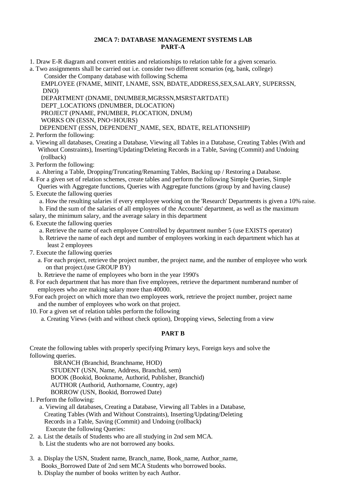### **2MCA 7: DATABASE MANAGEMENT SYSTEMS LAB PART-A**

1. Draw E-R diagram and convert entities and relationships to relation table for a given scenario.

a. Two assignments shall be carried out i.e. consider two different scenarios (eg, bank, college) Consider the Company database with following Schema

 EMPLOYEE (FNAME, MINIT, LNAME, SSN, BDATE,ADDRESS,SEX,SALARY, SUPERSSN, DNO)

DEPARTMENT (DNAME, DNUMBER,MGRSSN,MSRSTARTDATE)

DEPT\_LOCATIONS (DNUMBER, DLOCATION)

PROJECT (PNAME, PNUMBER, PLOCATION, DNUM)

WORKS ON (ESSN, PNO<HOURS)

DEPENDENT (ESSN, DEPENDENT\_NAME, SEX, BDATE, RELATIONSHIP)

- 2. Perform the following:
- a. Viewing all databases, Creating a Database, Viewing all Tables in a Database, Creating Tables (With and Without Constraints), Inserting/Updating/Deleting Records in a Table, Saving (Commit) and Undoing (rollback)
- 3. Perform the following:

a. Altering a Table, Dropping/Truncating/Renaming Tables, Backing up / Restoring a Database.

- 4. For a given set of relation schemes, create tables and perform the following Simple Queries, Simple Queries with Aggregate functions, Queries with Aggregate functions (group by and having clause)
- 5. Execute the fallowing queries
	- a. How the resulting salaries if every employee working on the 'Research' Departments is given a 10% raise.

b. Find the sum of the salaries of all employees of the Accounts' department, as well as the maximum

salary, the minimum salary, and the average salary in this department

- 6. Execute the fallowing queries
	- a. Retrieve the name of each employee Controlled by department number 5 (use EXISTS operator)
	- b. Retrieve the name of each dept and number of employees working in each department which has at least 2 employees
- 7. Execute the fallowing queries
	- a. For each project, retrieve the project number, the project name, and the number of employee who work on that project.(use GROUP BY)
	- b. Retrieve the name of employees who born in the year 1990's
- 8. For each department that has more than five employees, retrieve the department numberand number of employees who are making salary more than 40000.
- 9.For each project on which more than two employees work, retrieve the project number, project name and the number of employees who work on that project.
- 10. For a given set of relation tables perform the following

a. Creating Views (with and without check option), Dropping views, Selecting from a view

### **PART B**

Create the following tables with properly specifying Primary keys, Foreign keys and solve the following queries.

BRANCH (Branchid, Branchname, HOD)

STUDENT (USN, Name, Address, Branchid, sem)

BOOK (Bookid, Bookname, Authorid, Publisher, Branchid)

AUTHOR (Authorid, Authorname, Country, age)

- BORROW (USN, Bookid, Borrowed Date)
- 1. Perform the following:
	- a. Viewing all databases, Creating a Database, Viewing all Tables in a Database, Creating Tables (With and Without Constraints), Inserting/Updating/Deleting Records in a Table, Saving (Commit) and Undoing (rollback) Execute the following Queries:
- 2. a. List the details of Students who are all studying in 2nd sem MCA. b. List the students who are not borrowed any books.
- 3. a. Display the USN, Student name, Branch\_name, Book\_name, Author\_name, Books\_Borrowed Date of 2nd sem MCA Students who borrowed books.
	- b. Display the number of books written by each Author.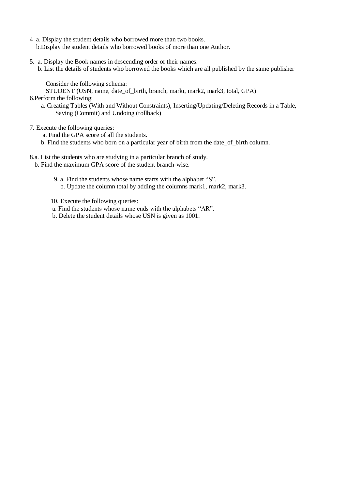- 4 a. Display the student details who borrowed more than two books. b.Display the student details who borrowed books of more than one Author.
- 5. a. Display the Book names in descending order of their names.
	- b. List the details of students who borrowed the books which are all published by the same publisher

Consider the following schema:

STUDENT (USN, name, date\_of\_birth, branch, marki, mark2, mark3, total, GPA)

- 6.Perform the following:
	- a. Creating Tables (With and Without Constraints), Inserting/Updating/Deleting Records in a Table, Saving (Commit) and Undoing (rollback)
- 7. Execute the following queries:

a. Find the GPA score of all the students.

- b. Find the students who born on a particular year of birth from the date\_of\_birth column.
- 8.a. List the students who are studying in a particular branch of study.
	- b. Find the maximum GPA score of the student branch-wise.
		- 9. a. Find the students whose name starts with the alphabet "S". b. Update the column total by adding the columns mark1, mark2, mark3.
		- 10. Execute the following queries:
		- a. Find the students whose name ends with the alphabets "AR".
		- b. Delete the student details whose USN is given as 1001.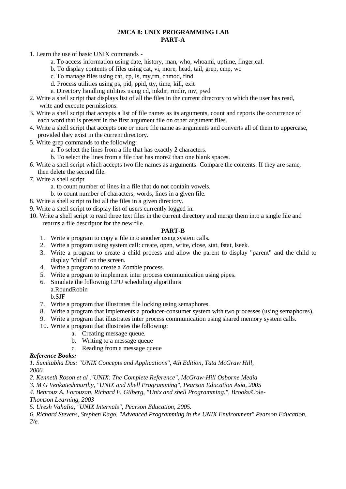### **2MCA 8: UNIX PROGRAMMING LAB PART-A**

1. Learn the use of basic UNIX commands -

- a. To access information using date, history, man, who, whoami, uptime, finger,cal.
- b. To display contents of files using cat, vi, more, head, tail, grep, cmp, wc
- c. To manage files using cat, cp, Is, my,rm, chmod, find
- d. Process utilities using ps, pid, ppid, tty, time, kill, exit
- e. Directory handling utilities using cd, mkdir, rmdir, mv, pwd
- 2. Write a shell script that displays list of all the files in the current directory to which the user has read, write and execute permissions.
- 3. Write a shell script that accepts a list of file names as its arguments, count and reports the occurrence of each word that is present in the first argument file on other argument files.
- 4. Write a shell script that accepts one or more file name as arguments and converts all of them to uppercase, provided they exist in the current directory.
- 5. Write grep commands to the following:
	- a. To select the lines from a file that has exactly 2 characters.
	- b. To select the lines from a file that has more2 than one blank spaces.
- 6. Write a shell script which accepts two file names as arguments. Compare the contents. If they are same, then delete the second file.
- 7. Write a shell script
	- a. to count number of lines in a file that do not contain vowels.
	- b. to count number of characters, words, lines in a given file.
- 8. Write a shell script to list all the files in a given directory.
- 9. Write a shell script to display list of users currently logged in.
- 10. Write a shell script to read three text files in the current directory and merge them into a single file and returns a file descriptor for the new file.

### **PART-B**

- 1. Write a program to copy a file into another using system calls.
- 2. Write a program using system call: create, open, write, close, stat, fstat, lseek.
- 3. Write a program to create a child process and allow the parent to display "parent" and the child to display "child" on the screen.
- 4. Write a program to create a Zombie process.
- 5. Write a program to implement inter process communication using pipes.
- 6. Simulate the following CPU scheduling algorithms
- a.RoundRobin b.SJF
- 7. Write a program that illustrates file locking using semaphores.
- 8. Write a program that implements a producer-consumer system with two processes (using semaphores).
- 9. Write a program that illustrates inter process communication using shared memory system calls.
- 10. Write a program that illustrates the following:
	- a. Creating message queue.
	- b. Writing to a message queue
	- c. Reading from a message queue

### *Reference Books:*

*1. Sumitabha Das: "UNIX Concepts and Applications", 4th Edition, Tata McGraw Hill, 2006.*

- *2. Kenneth Roson et al ,"UNIX: The Complete Reference", McGraw-Hill Osborne Media*
- *3. M G Venkateshmurthy, "UNIX and Shell Programming", Pearson Education Asia, 2005*
- *4. Behrouz A. Forouzan, Richard F. Gilberg, "Unix and shell Programming.", Brooks/Cole-*

*Thomson Learning, 2003*

*5. Uresh Vahalia, "UNIX Internals", Pearson Education, 2005.*

*6. Richard Stevens, Stephen Rago, "Advanced Programming in the UNIX Environment",Pearson Education, 2/e.*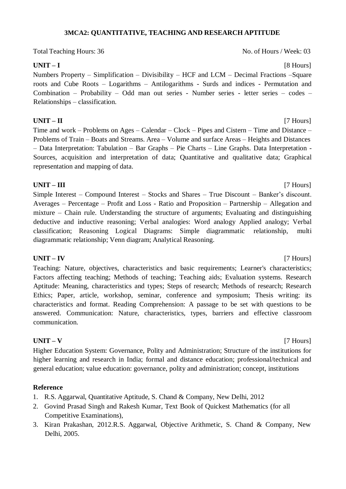## **3MCA2: QUANTITATIVE, TEACHING AND RESEARCH APTITUDE**

Total Teaching Hours: 36 No. of Hours / Week: 03

## **UNIT – I** [8 Hours]

Numbers Property – Simplification – Divisibility – HCF and LCM – Decimal Fractions –Square roots and Cube Roots – Logarithms – Antilogarithms - Surds and indices - Permutation and Combination – Probability – Odd man out series - Number series - letter series – codes – Relationships – classification.

## **UNIT – II** [7 Hours]

Time and work – Problems on Ages – Calendar – Clock – Pipes and Cistern – Time and Distance – Problems of Train – Boats and Streams. Area – Volume and surface Areas – Heights and Distances – Data Interpretation: Tabulation – Bar Graphs – Pie Charts – Line Graphs. Data Interpretation - Sources, acquisition and interpretation of data; Quantitative and qualitative data; Graphical representation and mapping of data.

**UNIT – III** [7 Hours] Simple Interest – Compound Interest – Stocks and Shares – True Discount – Banker's discount. Averages – Percentage – Profit and Loss - Ratio and Proposition – Partnership – Allegation and mixture – Chain rule. Understanding the structure of arguments; Evaluating and distinguishing deductive and inductive reasoning; Verbal analogies: Word analogy Applied analogy; Verbal classification; Reasoning Logical Diagrams: Simple diagrammatic relationship, multi diagrammatic relationship; Venn diagram; Analytical Reasoning.

## **UNIT – IV** [7 Hours]

Teaching: Nature, objectives, characteristics and basic requirements; Learner's characteristics; Factors affecting teaching; Methods of teaching; Teaching aids; Evaluation systems. Research Aptitude: Meaning, characteristics and types; Steps of research; Methods of research; Research Ethics; Paper, article, workshop, seminar, conference and symposium; Thesis writing: its characteristics and format. Reading Comprehension: A passage to be set with questions to be answered. Communication: Nature, characteristics, types, barriers and effective classroom communication.

## **UNIT – V** [7 Hours]

Higher Education System: Governance, Polity and Administration; Structure of the institutions for higher learning and research in India; formal and distance education; professional/technical and general education; value education: governance, polity and administration; concept, institutions

### **Reference**

- 1. R.S. Aggarwal, Quantitative Aptitude, S. Chand & Company, New Delhi, 2012
- 2. Govind Prasad Singh and Rakesh Kumar, Text Book of Quickest Mathematics (for all Competitive Examinations),
- 3. Kiran Prakashan, 2012.R.S. Aggarwal, Objective Arithmetic, S. Chand & Company, New Delhi, 2005.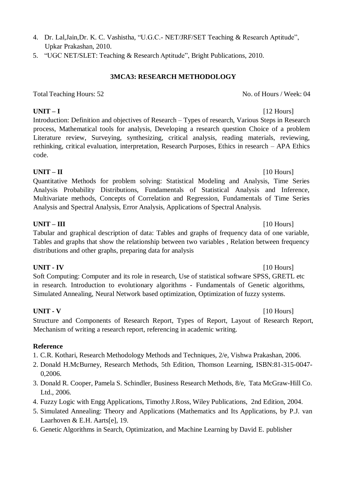- 4. Dr. Lal,Jain,Dr. K. C. Vashistha, "U.G.C.- NET/JRF/SET Teaching & Research Aptitude", Upkar Prakashan, 2010.
- 5. "UGC NET/SLET: Teaching & Research Aptitude", Bright Publications, 2010.

# **3MCA3: RESEARCH METHODOLOGY**

Total Teaching Hours: 52 No. of Hours / Week: 04

**UNIT – I** [12 Hours] Introduction: Definition and objectives of Research – Types of research, Various Steps in Research process, Mathematical tools for analysis, Developing a research question Choice of a problem Literature review, Surveying, synthesizing, critical analysis, reading materials, reviewing, rethinking, critical evaluation, interpretation, Research Purposes, Ethics in research – APA Ethics code.

# $UNIT - II$  [10 Hours]

Quantitative Methods for problem solving: Statistical Modeling and Analysis, Time Series Analysis Probability Distributions, Fundamentals of Statistical Analysis and Inference, Multivariate methods, Concepts of Correlation and Regression, Fundamentals of Time Series Analysis and Spectral Analysis, Error Analysis, Applications of Spectral Analysis.

## **UNIT – III** [10 Hours]

Tabular and graphical description of data: Tables and graphs of frequency data of one variable, Tables and graphs that show the relationship between two variables , Relation between frequency distributions and other graphs, preparing data for analysis

## **UNIT - IV** [10 Hours]

Soft Computing: Computer and its role in research, Use of statistical software SPSS, GRETL etc in research. Introduction to evolutionary algorithms - Fundamentals of Genetic algorithms, Simulated Annealing, Neural Network based optimization, Optimization of fuzzy systems.

## **UNIT - V** [10 Hours]

Structure and Components of Research Report, Types of Report, Layout of Research Report, Mechanism of writing a research report, referencing in academic writing.

## **Reference**

- 1. C.R. Kothari, Research Methodology Methods and Techniques, 2/e, Vishwa Prakashan, 2006.
- 2. Donald H.McBurney, Research Methods, 5th Edition, Thomson Learning, ISBN:81-315-0047- 0,2006.
- 3. Donald R. Cooper, Pamela S. Schindler, Business Research Methods, 8/e, Tata McGraw-Hill Co. Ltd., 2006.
- 4. Fuzzy Logic with Engg Applications, Timothy J.Ross, Wiley Publications, 2nd Edition, 2004.
- 5. Simulated Annealing: Theory and Applications (Mathematics and Its Applications, by P.J. van Laarhoven & E.H. Aarts[e], 19.
- 6. Genetic Algorithms in Search, Optimization, and Machine Learning by David E. publisher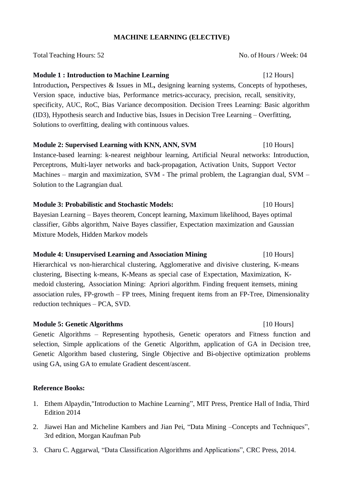### **MACHINE LEARNING (ELECTIVE)**

Total Teaching Hours: 52 No. of Hours / Week: 04

### **Module 1 : Introduction to Machine Learning** [12 Hours]

Introduction**,** Perspectives & Issues in ML**,** designing learning systems, Concepts of hypotheses, Version space, inductive bias, Performance metrics-accuracy, precision, recall, sensitivity, specificity, AUC, RoC, Bias Variance decomposition. Decision Trees Learning: Basic algorithm (ID3), Hypothesis search and Inductive bias, Issues in Decision Tree Learning – Overfitting, Solutions to overfitting, dealing with continuous values.

**Module 2: Supervised Learning with KNN, ANN, SVM** [10 Hours] Instance-based learning: k-nearest neighbour learning, Artificial Neural networks: Introduction, Perceptrons, Multi-layer networks and back-propagation, Activation Units, Support Vector Machines – margin and maximization, SVM - The primal problem, the Lagrangian dual, SVM – Solution to the Lagrangian dual.

# **Module 3: Probabilistic and Stochastic Models:** [10 Hours] Bayesian Learning – Bayes theorem, Concept learning, Maximum likelihood, Bayes optimal classifier, Gibbs algorithm, Naive Bayes classifier, Expectation maximization and Gaussian Mixture Models, Hidden Markov models

## **Module 4: Unsupervised Learning and Association Mining** [10 Hours]

Hierarchical vs non-hierarchical clustering, Agglomerative and divisive clustering, K-means clustering, Bisecting k-means, K-Means as special case of Expectation, Maximization, Kmedoid clustering, Association Mining: Apriori algorithm. Finding frequent itemsets, mining association rules, FP-growth – FP trees, Mining frequent items from an FP-Tree, Dimensionality reduction techniques – PCA, SVD.

## **Module 5: Genetic Algorithms** [10 Hours]

Genetic Algorithms – Representing hypothesis, Genetic operators and Fitness function and selection, Simple applications of the Genetic Algorithm, application of GA in Decision tree, Genetic Algorithm based clustering, Single Objective and Bi-objective optimization problems using GA, using GA to emulate Gradient descent/ascent.

### **Reference Books:**

- 1. Ethem Alpaydin,"Introduction to Machine Learning", MIT Press, Prentice Hall of India, Third Edition 2014
- 2. Jiawei Han and Micheline Kambers and Jian Pei, "Data Mining –Concepts and Techniques", 3rd edition, Morgan Kaufman Pub
- 3. Charu C. Aggarwal, "Data Classification Algorithms and Applications", CRC Press, 2014.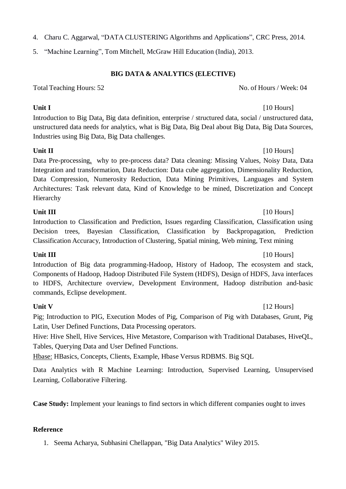- 4. Charu C. Aggarwal, "DATA CLUSTERING Algorithms and Applications", CRC Press, 2014.
- 5. "Machine Learning", Tom Mitchell, McGraw Hill Education (India), 2013.

# **BIG DATA & ANALYTICS (ELECTIVE)**

Total Teaching Hours: 52 No. of Hours / Week: 04

Introduction to Big Data, Big data definition, enterprise / structured data, social / unstructured data, unstructured data needs for analytics, what is Big Data, Big Deal about Big Data, Big Data Sources, Industries using Big Data, Big Data challenges.

**Unit II** [10 Hours] Data Pre-processing, why to pre-process data? Data cleaning: Missing Values, Noisy Data, Data Integration and transformation, Data Reduction: Data cube aggregation, Dimensionality Reduction, Data Compression, Numerosity Reduction, Data Mining Primitives, Languages and System Architectures: Task relevant data, Kind of Knowledge to be mined, Discretization and Concept Hierarchy

**Unit III** [10 Hours] Introduction to Classification and Prediction, Issues regarding Classification, Classification using Decision trees, Bayesian Classification, Classification by Backpropagation, Prediction Classification Accuracy, Introduction of Clustering, Spatial mining, Web mining, Text mining

Introduction of Big data programming-Hadoop, History of Hadoop, The ecosystem and stack, Components of Hadoop, Hadoop Distributed File System (HDFS), Design of HDFS, Java interfaces to HDFS, Architecture overview, Development Environment, Hadoop distribution and-basic commands, Eclipse development.

## **Unit V** [12 Hours]

Pig: Introduction to PIG, Execution Modes of Pig, Comparison of Pig with Databases, Grunt, Pig Latin, User Defined Functions, Data Processing operators.

Hive: Hive Shell, Hive Services, Hive Metastore, Comparison with Traditional Databases, HiveQL, Tables, Querying Data and User Defined Functions.

Hbase: HBasics, Concepts, Clients, Example, Hbase Versus RDBMS. Big SQL

Data Analytics with R Machine Learning: Introduction, Supervised Learning, Unsupervised Learning, Collaborative Filtering.

**Case Study:** Implement your leanings to find sectors in which different companies ought to inves

## **Reference**

1. Seema Acharya, Subhasini Chellappan, "Big Data Analytics" Wiley 2015.

## **Unit III** [10 Hours]

# **Unit I** [10 Hours]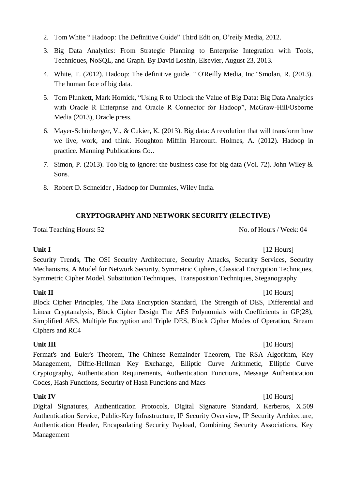- 2. Tom White " Hadoop: The Definitive Guide" Third Edit on, O'reily Media, 2012.
- 3. Big Data Analytics: From Strategic Planning to Enterprise Integration with Tools, Techniques, NoSQL, and Graph. By David Loshin, Elsevier, August 23, 2013.
- 4. White, T. (2012). Hadoop: The definitive guide. " O'Reilly Media, Inc."Smolan, R. (2013). The human face of big data.
- 5. Tom Plunkett, Mark Hornick, "Using R to Unlock the Value of Big Data: Big Data Analytics with Oracle R Enterprise and Oracle R Connector for Hadoop", McGraw-Hill/Osborne Media (2013), Oracle press.
- 6. Mayer-Schönberger, V., & Cukier, K. (2013). Big data: A revolution that will transform how we live, work, and think. Houghton Mifflin Harcourt. Holmes, A. (2012). Hadoop in practice. Manning Publications Co..
- 7. Simon, P. (2013). Too big to ignore: the business case for big data (Vol. 72). John Wiley & Sons.
- 8. Robert D. Schneider , Hadoop for Dummies, Wiley India.

## **CRYPTOGRAPHY AND NETWORK SECURITY (ELECTIVE)**

Total Teaching Hours: 52 No. of Hours / Week: 04

**Unit I** [12 Hours] Security Trends, The OSI Security Architecture, Security Attacks, Security Services, Security Mechanisms, A Model for Network Security, Symmetric Ciphers, Classical Encryption Techniques, Symmetric Cipher Model, Substitution Techniques, Transposition Techniques, Steganography

**Unit II** [10 Hours]

Block Cipher Principles, The Data Encryption Standard, The Strength of DES, Differential and Linear Cryptanalysis, Block Cipher Design The AES Polynomials with Coefficients in GF(28), Simplified AES, Multiple Encryption and Triple DES, Block Cipher Modes of Operation, Stream Ciphers and RC4

### **Unit III** [10 Hours]

Fermat's and Euler's Theorem, The Chinese Remainder Theorem, The RSA Algorithm, Key Management, Diffie-Hellman Key Exchange, Elliptic Curve Arithmetic, Elliptic Curve Cryptography, Authentication Requirements, Authentication Functions, Message Authentication Codes, Hash Functions, Security of Hash Functions and Macs

Digital Signatures, Authentication Protocols, Digital Signature Standard, Kerberos, X.509 Authentication Service, Public-Key Infrastructure, IP Security Overview, IP Security Architecture, Authentication Header, Encapsulating Security Payload, Combining Security Associations, Key Management

## **Unit IV** [10 Hours]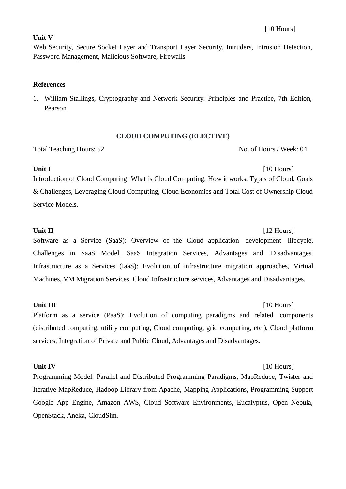### **Unit V**

Web Security, Secure Socket Layer and Transport Layer Security, Intruders, Intrusion Detection, Password Management, Malicious Software, Firewalls

## **References**

1. William Stallings, Cryptography and Network Security: Principles and Practice, 7th Edition, Pearson

## **CLOUD COMPUTING (ELECTIVE)**

Total Teaching Hours: 52 No. of Hours / Week: 04

**Unit I** [10 Hours] Introduction of Cloud Computing: What is Cloud Computing, How it works, Types of Cloud, Goals & Challenges, Leveraging Cloud Computing, Cloud Economics and Total Cost of Ownership Cloud Service Models.

**Unit II** [12 Hours]

Software as a Service (SaaS): Overview of the Cloud application development lifecycle, Challenges in SaaS Model, SaaS Integration Services, Advantages and Disadvantages. Infrastructure as a Services (IaaS): Evolution of infrastructure migration approaches, Virtual Machines, VM Migration Services, Cloud Infrastructure services, Advantages and Disadvantages.

## **Unit III** [10 Hours]

Platform as a service (PaaS): Evolution of computing paradigms and related components (distributed computing, utility computing, Cloud computing, grid computing, etc.), Cloud platform services, Integration of Private and Public Cloud, Advantages and Disadvantages.

## **Unit IV** [10 Hours]

Programming Model: Parallel and Distributed Programming Paradigms, MapReduce, Twister and Iterative MapReduce, Hadoop Library from Apache, Mapping Applications, Programming Support Google App Engine, Amazon AWS, Cloud Software Environments, Eucalyptus, Open Nebula, OpenStack, Aneka, CloudSim.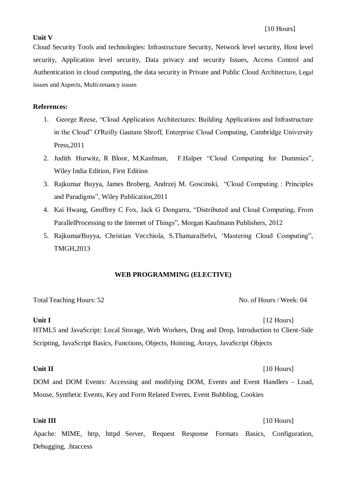### **Unit V**

Cloud Security Tools and technologies: Infrastructure Security, Network level security, Host level security, Application level security, Data privacy and security Issues, Access Control and Authentication in cloud computing, the data security in Private and Public Cloud Architecture, Legal issues and Aspects, Multi-tenancy issues

### **References:**

- 1. George Reese, "Cloud Application Architectures: Building Applications and Infrastructure in the Cloud" O'Reilly Gautam Shroff, Enterprise Cloud Computing, Cambridge University Press,2011
- 2. Judith Hurwitz, R Bloor, M.Kanfman, F.Halper "Cloud Computing for Dummies", Wiley India Edition, First Edition
- 3. Rajkumar Buyya, James Broberg, Andrzej M. Goscinski, "Cloud Computing : Principles and Paradigms", Wiley Publication,2011
- 4. Kai Hwang, Geoffrey C Fox, Jack G Dongarra, "Distributed and Cloud Computing, From ParallelProcessing to the Internet of Things", Morgan Kaufmann Publishers, 2012
- 5. RajkumarBuyya, Christian Vecchiola, S.ThamaraiSelvi, 'Mastering Cloud Computing", TMGH,2013

### **WEB PROGRAMMING (ELECTIVE)**

Total Teaching Hours: 52 No. of Hours / Week: 04

**Unit I** [12 Hours] HTML5 and JavaScript: Local Storage, Web Workers, Drag and Drop, Introduction to Client-Side Scripting, JavaScript Basics, Functions, Objects, Hoisting, Arrays, JavaScript Objects

DOM and DOM Events: Accessing and modifying DOM, Events and Event Handlers - Load, Mouse, Synthetic Events, Key and Form Related Events, Event Bubbling, Cookies

**Unit III** [10 Hours] Apache: MIME, http, httpd Server, Request Response Formats Basics, Configuration, Debugging, .htaccess

## **Unit II** [10 Hours]